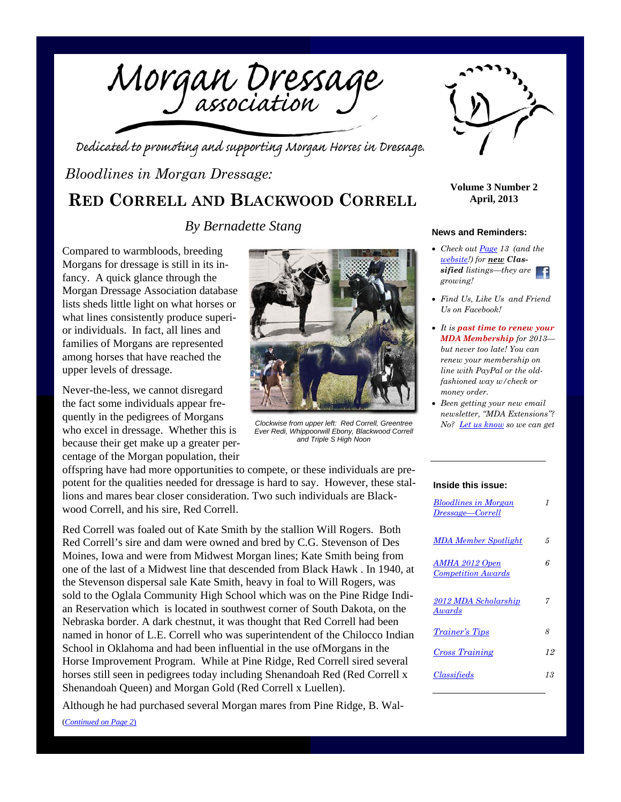Morgan Dressage

Dedicated to promoting and supporting Morgan Horses in Dressage.

### *Bloodlines in Morgan Dressage:*

**RED CORRELL AND BLACKWOOD CORRELL**

*By Bernadette Stang*

Compared to warmbloods, breeding Morgans for dressage is still in its infancy. A quick glance through the Morgan Dressage Association database lists sheds little light on what horses or what lines consistently produce superior individuals. In fact, all lines and families of Morgans are represented among horses that have reached the upper levels of dressage.

Never-the-less, we cannot disregard the fact some individuals appear frequently in the pedigrees of Morgans who excel in dressage. Whether this is because their get make up a greater percentage of the Morgan population, their

offspring have had more opportunities to compete, or these individuals are prepotent for the qualities needed for dressage is hard to say. However, these stallions and mares bear closer consideration. Two such individuals are Blackwood Correll, and his sire, Red Correll.

*Clockwise from upper left: Red Correll, Greentree Ever Redi, Whippoorwill Ebony, Blackwood Correll and Triple S High Noon* 

Red Correll was foaled out of Kate Smith by the stallion Will Rogers. Both Red Correll's sire and dam were owned and bred by C.G. Stevenson of Des Moines, Iowa and were from Midwest Morgan lines; Kate Smith being from one of the last of a Midwest line that descended from Black Hawk . In 1940, at the Stevenson dispersal sale Kate Smith, heavy in foal to Will Rogers, was sold to the Oglala Community High School which was on the Pine Ridge Indian Reservation which is located in southwest corner of South Dakota, on the Nebraska border. A dark chestnut, it was thought that Red Correll had been named in honor of L.E. Correll who was superintendent of the Chilocco Indian School in Oklahoma and had been influential in the use ofMorgans in the Horse Improvement Program. While at Pine Ridge, Red Correll sired several horses still seen in pedigrees today including Shenandoah Red (Red Correll x Shenandoah Queen) and Morgan Gold (Red Correll x Luellen).

Although he had purchased several Morgan mares from Pine Ridge, B. Wal- (*Continued on Page 2*)



**Volume 3 Number 2 April, 2013** 

#### **News and Reminders:**

- *Check out Page 13 (and the website!) for new Classified listings—they are growing!*
- *Find Us, Like Us and Friend Us on Facebook!*
- *It is past time to renew your MDA Membership for 2013 but never too late! You can renew your membership on line with PayPal or the oldfashioned way w/check or money order.*
- *Been getting your new email newsletter, "MDA Extensions"? No? Let us know so we can get*

#### **Inside this issue:**

| Bloodlines in Morgan<br>Dressage—Correll    | 1  |
|---------------------------------------------|----|
| <b>MDA Member Spotlight</b>                 | 5  |
| AMHA 2012 Open<br><b>Competition Awards</b> | 6  |
| 2012 MDA Scholarship<br>Awards              | 7  |
| <i>Trainer's Tips</i>                       | 8  |
| Cross Training                              | 12 |
| <i><b>Classifieds</b></i>                   | 13 |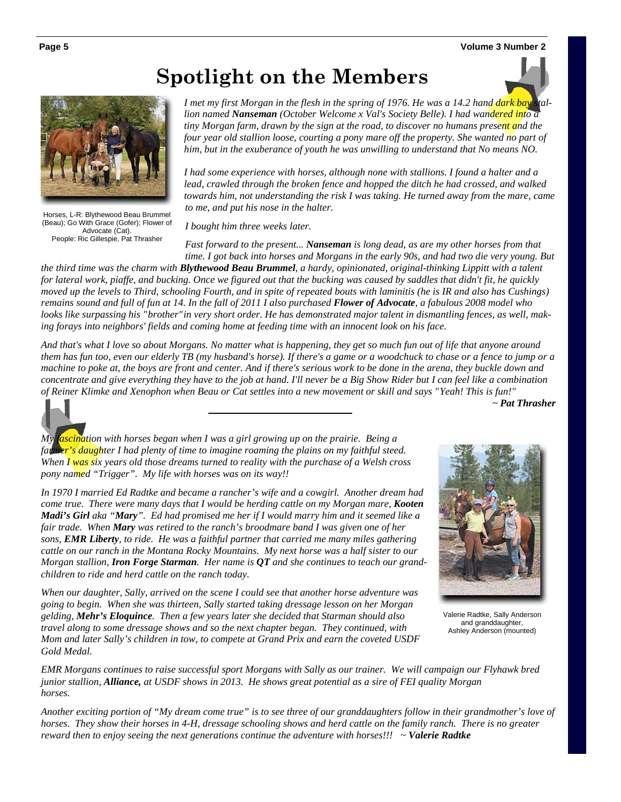## **Spotlight on the Members**



Horses, L-R: Blythewood Beau Brummel (Beau); Go With Grace (Gofer); Flower of

Advocate (Cat). People: Ric Gillespie, Pat Thrasher

*I met my first Morgan in the flesh in the spring of 1976. He was a 14.2 hand dark bay stallion named Nanseman (October Welcome x Val's Society Belle). I had wandered into a tiny Morgan farm, drawn by the sign at the road, to discover no humans present and the*  four year old stallion loose, courting a pony mare off the property. She wanted no part of *him, but in the exuberance of youth he was unwilling to understand that No means NO.* 

*I had some experience with horses, although none with stallions. I found a halter and a lead, crawled through the broken fence and hopped the ditch he had crossed, and walked towards him, not understanding the risk I was taking. He turned away from the mare, came to me, and put his nose in the halter.* 

*I bought him three weeks later.* 

*Fast forward to the present... Nanseman is long dead, as are my other horses from that time. I got back into horses and Morgans in the early 90s, and had two die very young. But* 

*the third time was the charm with Blythewood Beau Brummel, a hardy, opinionated, original-thinking Lippitt with a talent for lateral work, piaffe, and bucking. Once we figured out that the bucking was caused by saddles that didn't fit, he quickly moved up the levels to Third, schooling Fourth, and in spite of repeated bouts with laminitis (he is IR and also has Cushings) remains sound and full of fun at 14. In the fall of 2011 I also purchased Flower of Advocate, a fabulous 2008 model who looks like surpassing his " brother" in very short order. He has demonstrated major talent in dismantling fences, as well, making forays into neighbors' fields and coming home at feeding time with an innocent look on his face.* 

*And that's what I love so about Morgans. No matter what is happening, they get so much fun out of life that anyone around them has fun too, even our elderly TB (my husband's horse). If there's a game or a woodchuck to chase or a fence to jump or a machine to poke at, the boys are front and center. And if there's serious work to be done in the arena, they buckle down and concentrate and give everything they have to the job at hand. I'll never be a Big Show Rider but I can feel like a combination of Reiner Klimke and Xenophon when Beau or Cat settles into a new movement or skill and says " Yeah! This is fun!"* 

 *~ Pat Thrasher* 



*My fascination with horses began when I was a girl growing up on the prairie. Being a farmer's daughter I had plenty of time to imagine roaming the plains on my faithful steed. When I was six years old those dreams turned to reality with the purchase of a Welsh cross pony named "Trigger". My life with horses was on its way!!* 

*In 1970 I married Ed Radtke and became a rancher's wife and a cowgirl. Another dream had come true. There were many days that I would be herding cattle on my Morgan mare, Kooten Madi's Girl aka "Mary". Ed had promised me her if I would marry him and it seemed like a fair trade. When Mary was retired to the ranch's broodmare band I was given one of her sons, EMR Liberty, to ride. He was a faithful partner that carried me many miles gathering cattle on our ranch in the Montana Rocky Mountains. My next horse was a half sister to our Morgan stallion, Iron Forge Starman. Her name is QT and she continues to teach our grandchildren to ride and herd cattle on the ranch today.* 

*When our daughter, Sally, arrived on the scene I could see that another horse adventure was going to begin. When she was thirteen, Sally started taking dressage lesson on her Morgan gelding, Mehr's Eloquince. Then a few years later she decided that Starman should also travel along to some dressage shows and so the next chapter began. They continued, with Mom and later Sally's children in tow, to compete at Grand Prix and earn the coveted USDF Gold Medal.* 



Valerie Radtke, Sally Anderson and granddaughter, Ashley Anderson (mounted)

*EMR Morgans continues to raise successful sport Morgans with Sally as our trainer. We will campaign our Flyhawk bred junior stallion, Alliance, at USDF shows in 2013. He shows great potential as a sire of FEI quality Morgan horses.* 

*Another exciting portion of "My dream come true" is to see three of our granddaughters follow in their grandmother's love of horses. They show their horses in 4-H, dressage schooling shows and herd cattle on the family ranch. There is no greater reward then to enjoy seeing the next generations continue the adventure with horses!!! ~ Valerie Radtke*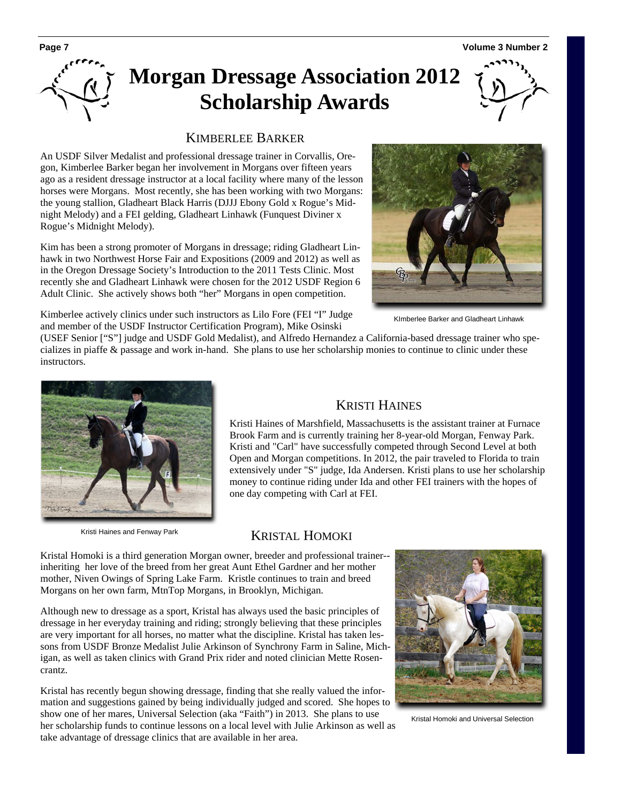# **Morgan Dressage Association 2012 Scholarship Awards**



#### KIMBERLEE BARKER

An USDF Silver Medalist and professional dressage trainer in Corvallis, Oregon, Kimberlee Barker began her involvement in Morgans over fifteen years ago as a resident dressage instructor at a local facility where many of the lesson horses were Morgans. Most recently, she has been working with two Morgans: the young stallion, Gladheart Black Harris (DJJJ Ebony Gold x Rogue's Midnight Melody) and a FEI gelding, Gladheart Linhawk (Funquest Diviner x Rogue's Midnight Melody).

Kim has been a strong promoter of Morgans in dressage; riding Gladheart Linhawk in two Northwest Horse Fair and Expositions (2009 and 2012) as well as in the Oregon Dressage Society's Introduction to the 2011 Tests Clinic. Most recently she and Gladheart Linhawk were chosen for the 2012 USDF Region 6 Adult Clinic. She actively shows both "her" Morgans in open competition.



KImberlee Barker and Gladheart Linhawk

Kimberlee actively clinics under such instructors as Lilo Fore (FEI "I" Judge and member of the USDF Instructor Certification Program), Mike Osinski

(USEF Senior ["S"] judge and USDF Gold Medalist), and Alfredo Hernandez a California-based dressage trainer who specializes in piaffe & passage and work in-hand. She plans to use her scholarship monies to continue to clinic under these instructors.



#### KRISTI HAINES

Kristi Haines of Marshfield, Massachusetts is the assistant trainer at Furnace Brook Farm and is currently training her 8-year-old Morgan, Fenway Park. Kristi and "Carl" have successfully competed through Second Level at both Open and Morgan competitions. In 2012, the pair traveled to Florida to train extensively under "S" judge, Ida Andersen. Kristi plans to use her scholarship money to continue riding under Ida and other FEI trainers with the hopes of one day competing with Carl at FEI.

Kristi Haines and Fenway Park

#### KRISTAL HOMOKI

Kristal Homoki is a third generation Morgan owner, breeder and professional trainer- inheriting her love of the breed from her great Aunt Ethel Gardner and her mother mother, Niven Owings of Spring Lake Farm. Kristle continues to train and breed Morgans on her own farm, MtnTop Morgans, in Brooklyn, Michigan.

Although new to dressage as a sport, Kristal has always used the basic principles of dressage in her everyday training and riding; strongly believing that these principles are very important for all horses, no matter what the discipline. Kristal has taken lessons from USDF Bronze Medalist Julie Arkinson of Synchrony Farm in Saline, Michigan, as well as taken clinics with Grand Prix rider and noted clinician Mette Rosencrantz.

Kristal has recently begun showing dressage, finding that she really valued the information and suggestions gained by being individually judged and scored. She hopes to show one of her mares, Universal Selection (aka "Faith") in 2013. She plans to use her scholarship funds to continue lessons on a local level with Julie Arkinson as well as take advantage of dressage clinics that are available in her area.



Kristal Homoki and Universal Selection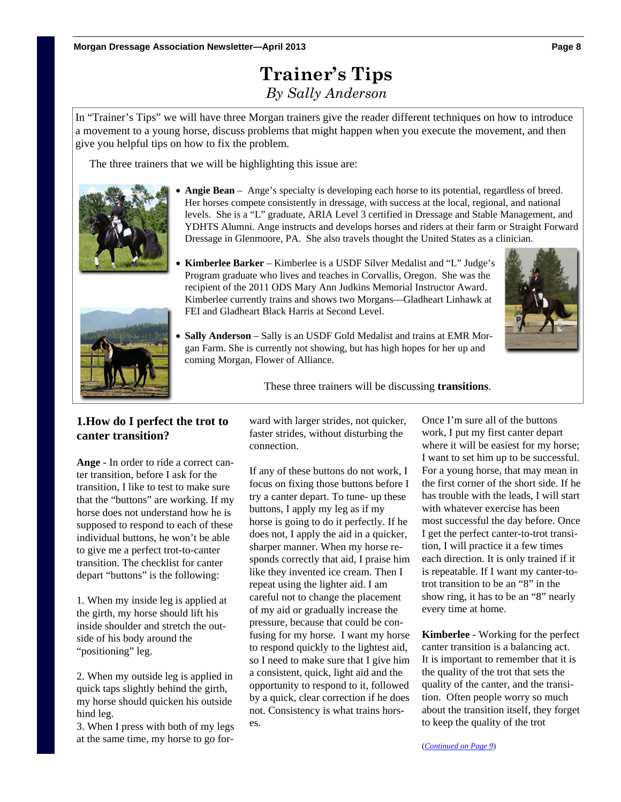### **Trainer's Tips**  *By Sally Anderson*

In "Trainer's Tips" we will have three Morgan trainers give the reader different techniques on how to introduce a movement to a young horse, discuss problems that might happen when you execute the movement, and then give you helpful tips on how to fix the problem.

The three trainers that we will be highlighting this issue are:



- Angie Bean Ange's specialty is developing each horse to its potential, regardless of breed. Her horses compete consistently in dressage, with success at the local, regional, and national levels. She is a "L" graduate, ARIA Level 3 certified in Dressage and Stable Management, and YDHTS Alumni. Ange instructs and develops horses and riders at their farm or Straight Forward Dressage in Glenmoore, PA. She also travels thought the United States as a clinician.
- 
- **Kimberlee Barker**  Kimberlee is a USDF Silver Medalist and "L" Judge's Program graduate who lives and teaches in Corvallis, Oregon. She was the recipient of the 2011 ODS Mary Ann Judkins Memorial Instructor Award. Kimberlee currently trains and shows two Morgans—Gladheart Linhawk at FEI and Gladheart Black Harris at Second Level.





 **Sally Anderson** – Sally is an USDF Gold Medalist and trains at EMR Morgan Farm. She is currently not showing, but has high hopes for her up and coming Morgan, Flower of Alliance.

These three trainers will be discussing **transitions**.

#### **1.How do I perfect the trot to canter transition?**

**Ange** - In order to ride a correct canter transition, before I ask for the transition, I like to test to make sure that the "buttons" are working. If my horse does not understand how he is supposed to respond to each of these individual buttons, he won't be able to give me a perfect trot-to-canter transition. The checklist for canter depart "buttons" is the following:

1. When my inside leg is applied at the girth, my horse should lift his inside shoulder and stretch the outside of his body around the "positioning" leg.

2. When my outside leg is applied in quick taps slightly behind the girth, my horse should quicken his outside hind leg.

3. When I press with both of my legs at the same time, my horse to go forward with larger strides, not quicker, faster strides, without disturbing the connection.

If any of these buttons do not work, I focus on fixing those buttons before I try a canter depart. To tune- up these buttons, I apply my leg as if my horse is going to do it perfectly. If he does not, I apply the aid in a quicker, sharper manner. When my horse responds correctly that aid, I praise him like they invented ice cream. Then I repeat using the lighter aid. I am careful not to change the placement of my aid or gradually increase the pressure, because that could be confusing for my horse. I want my horse to respond quickly to the lightest aid, so I need to make sure that I give him a consistent, quick, light aid and the opportunity to respond to it, followed by a quick, clear correction if he does not. Consistency is what trains hors-

es.

Once I'm sure all of the buttons work, I put my first canter depart where it will be easiest for my horse; I want to set him up to be successful. For a young horse, that may mean in the first corner of the short side. If he has trouble with the leads. I will start with whatever exercise has been most successful the day before. Once I get the perfect canter-to-trot transition, I will practice it a few times each direction. It is only trained if it is repeatable. If I want my canter-totrot transition to be an "8" in the show ring, it has to be an "8" nearly every time at home.

**Kimberlee** - Working for the perfect canter transition is a balancing act. It is important to remember that it is the quality of the trot that sets the quality of the canter, and the transition. Often people worry so much about the transition itself, they forget to keep the quality of the trot